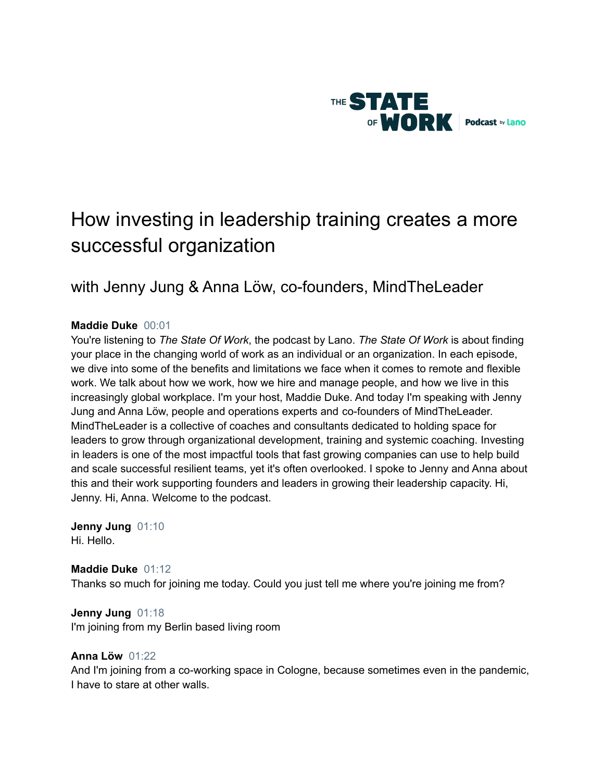

# How investing in leadership training creates a more successful organization

# with Jenny Jung & Anna Löw, co-founders, MindTheLeader

# **Maddie Duke** 00:01

You're listening to *The State Of Work*, the podcast by Lano. *The State Of Work* is about finding your place in the changing world of work as an individual or an organization. In each episode, we dive into some of the benefits and limitations we face when it comes to remote and flexible work. We talk about how we work, how we hire and manage people, and how we live in this increasingly global workplace. I'm your host, Maddie Duke. And today I'm speaking with Jenny Jung and Anna Löw, people and operations experts and co-founders of MindTheLeader. MindTheLeader is a collective of coaches and consultants dedicated to holding space for leaders to grow through organizational development, training and systemic coaching. Investing in leaders is one of the most impactful tools that fast growing companies can use to help build and scale successful resilient teams, yet it's often overlooked. I spoke to Jenny and Anna about this and their work supporting founders and leaders in growing their leadership capacity. Hi, Jenny. Hi, Anna. Welcome to the podcast.

**Jenny Jung** 01:10 Hi. Hello.

**Maddie Duke** 01:12 Thanks so much for joining me today. Could you just tell me where you're joining me from?

**Jenny Jung** 01:18 I'm joining from my Berlin based living room

# **Anna Löw** 01:22

And I'm joining from a co-working space in Cologne, because sometimes even in the pandemic, I have to stare at other walls.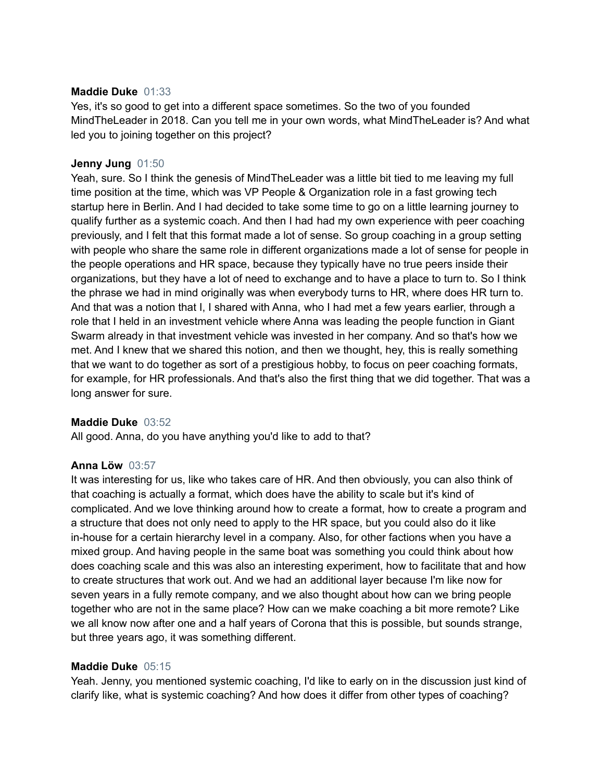# **Maddie Duke** 01:33

Yes, it's so good to get into a different space sometimes. So the two of you founded MindTheLeader in 2018. Can you tell me in your own words, what MindTheLeader is? And what led you to joining together on this project?

# **Jenny Jung** 01:50

Yeah, sure. So I think the genesis of MindTheLeader was a little bit tied to me leaving my full time position at the time, which was VP People & Organization role in a fast growing tech startup here in Berlin. And I had decided to take some time to go on a little learning journey to qualify further as a systemic coach. And then I had had my own experience with peer coaching previously, and I felt that this format made a lot of sense. So group coaching in a group setting with people who share the same role in different organizations made a lot of sense for people in the people operations and HR space, because they typically have no true peers inside their organizations, but they have a lot of need to exchange and to have a place to turn to. So I think the phrase we had in mind originally was when everybody turns to HR, where does HR turn to. And that was a notion that I, I shared with Anna, who I had met a few years earlier, through a role that I held in an investment vehicle where Anna was leading the people function in Giant Swarm already in that investment vehicle was invested in her company. And so that's how we met. And I knew that we shared this notion, and then we thought, hey, this is really something that we want to do together as sort of a prestigious hobby, to focus on peer coaching formats, for example, for HR professionals. And that's also the first thing that we did together. That was a long answer for sure.

# **Maddie Duke** 03:52

All good. Anna, do you have anything you'd like to add to that?

# **Anna Löw** 03:57

It was interesting for us, like who takes care of HR. And then obviously, you can also think of that coaching is actually a format, which does have the ability to scale but it's kind of complicated. And we love thinking around how to create a format, how to create a program and a structure that does not only need to apply to the HR space, but you could also do it like in-house for a certain hierarchy level in a company. Also, for other factions when you have a mixed group. And having people in the same boat was something you could think about how does coaching scale and this was also an interesting experiment, how to facilitate that and how to create structures that work out. And we had an additional layer because I'm like now for seven years in a fully remote company, and we also thought about how can we bring people together who are not in the same place? How can we make coaching a bit more remote? Like we all know now after one and a half years of Corona that this is possible, but sounds strange, but three years ago, it was something different.

# **Maddie Duke** 05:15

Yeah. Jenny, you mentioned systemic coaching, I'd like to early on in the discussion just kind of clarify like, what is systemic coaching? And how does it differ from other types of coaching?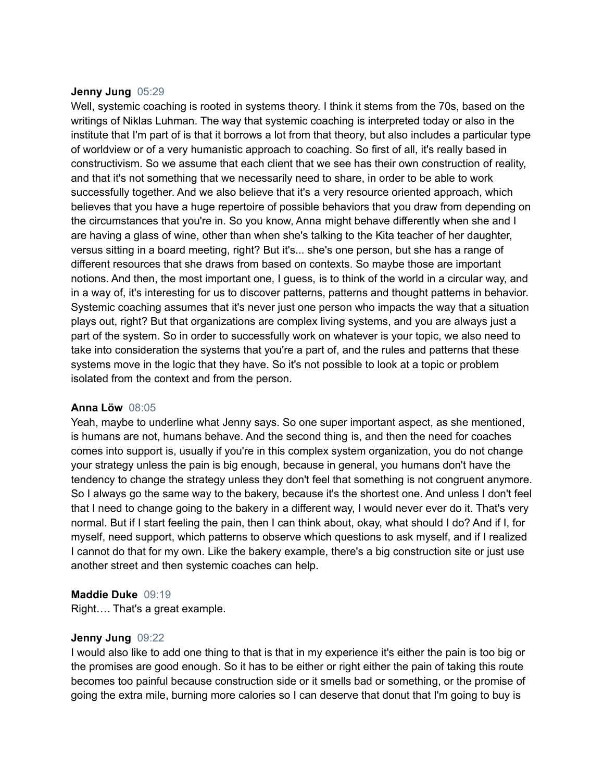## **Jenny Jung** 05:29

Well, systemic coaching is rooted in systems theory. I think it stems from the 70s, based on the writings of Niklas Luhman. The way that systemic coaching is interpreted today or also in the institute that I'm part of is that it borrows a lot from that theory, but also includes a particular type of worldview or of a very humanistic approach to coaching. So first of all, it's really based in constructivism. So we assume that each client that we see has their own construction of reality, and that it's not something that we necessarily need to share, in order to be able to work successfully together. And we also believe that it's a very resource oriented approach, which believes that you have a huge repertoire of possible behaviors that you draw from depending on the circumstances that you're in. So you know, Anna might behave differently when she and I are having a glass of wine, other than when she's talking to the Kita teacher of her daughter, versus sitting in a board meeting, right? But it's... she's one person, but she has a range of different resources that she draws from based on contexts. So maybe those are important notions. And then, the most important one, I guess, is to think of the world in a circular way, and in a way of, it's interesting for us to discover patterns, patterns and thought patterns in behavior. Systemic coaching assumes that it's never just one person who impacts the way that a situation plays out, right? But that organizations are complex living systems, and you are always just a part of the system. So in order to successfully work on whatever is your topic, we also need to take into consideration the systems that you're a part of, and the rules and patterns that these systems move in the logic that they have. So it's not possible to look at a topic or problem isolated from the context and from the person.

# **Anna Löw** 08:05

Yeah, maybe to underline what Jenny says. So one super important aspect, as she mentioned, is humans are not, humans behave. And the second thing is, and then the need for coaches comes into support is, usually if you're in this complex system organization, you do not change your strategy unless the pain is big enough, because in general, you humans don't have the tendency to change the strategy unless they don't feel that something is not congruent anymore. So I always go the same way to the bakery, because it's the shortest one. And unless I don't feel that I need to change going to the bakery in a different way, I would never ever do it. That's very normal. But if I start feeling the pain, then I can think about, okay, what should I do? And if I, for myself, need support, which patterns to observe which questions to ask myself, and if I realized I cannot do that for my own. Like the bakery example, there's a big construction site or just use another street and then systemic coaches can help.

# **Maddie Duke** 09:19

Right…. That's a great example.

# **Jenny Jung** 09:22

I would also like to add one thing to that is that in my experience it's either the pain is too big or the promises are good enough. So it has to be either or right either the pain of taking this route becomes too painful because construction side or it smells bad or something, or the promise of going the extra mile, burning more calories so I can deserve that donut that I'm going to buy is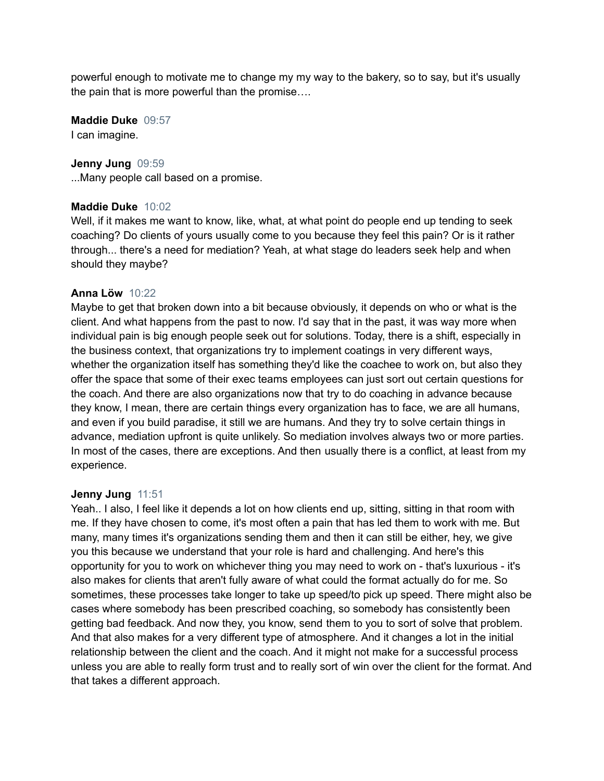powerful enough to motivate me to change my my way to the bakery, so to say, but it's usually the pain that is more powerful than the promise….

**Maddie Duke** 09:57 I can imagine.

# **Jenny Jung** 09:59

...Many people call based on a promise.

# **Maddie Duke** 10:02

Well, if it makes me want to know, like, what, at what point do people end up tending to seek coaching? Do clients of yours usually come to you because they feel this pain? Or is it rather through... there's a need for mediation? Yeah, at what stage do leaders seek help and when should they maybe?

# **Anna Löw** 10:22

Maybe to get that broken down into a bit because obviously, it depends on who or what is the client. And what happens from the past to now. I'd say that in the past, it was way more when individual pain is big enough people seek out for solutions. Today, there is a shift, especially in the business context, that organizations try to implement coatings in very different ways, whether the organization itself has something they'd like the coachee to work on, but also they offer the space that some of their exec teams employees can just sort out certain questions for the coach. And there are also organizations now that try to do coaching in advance because they know, I mean, there are certain things every organization has to face, we are all humans, and even if you build paradise, it still we are humans. And they try to solve certain things in advance, mediation upfront is quite unlikely. So mediation involves always two or more parties. In most of the cases, there are exceptions. And then usually there is a conflict, at least from my experience.

# **Jenny Jung** 11:51

Yeah.. I also, I feel like it depends a lot on how clients end up, sitting, sitting in that room with me. If they have chosen to come, it's most often a pain that has led them to work with me. But many, many times it's organizations sending them and then it can still be either, hey, we give you this because we understand that your role is hard and challenging. And here's this opportunity for you to work on whichever thing you may need to work on - that's luxurious - it's also makes for clients that aren't fully aware of what could the format actually do for me. So sometimes, these processes take longer to take up speed/to pick up speed. There might also be cases where somebody has been prescribed coaching, so somebody has consistently been getting bad feedback. And now they, you know, send them to you to sort of solve that problem. And that also makes for a very different type of atmosphere. And it changes a lot in the initial relationship between the client and the coach. And it might not make for a successful process unless you are able to really form trust and to really sort of win over the client for the format. And that takes a different approach.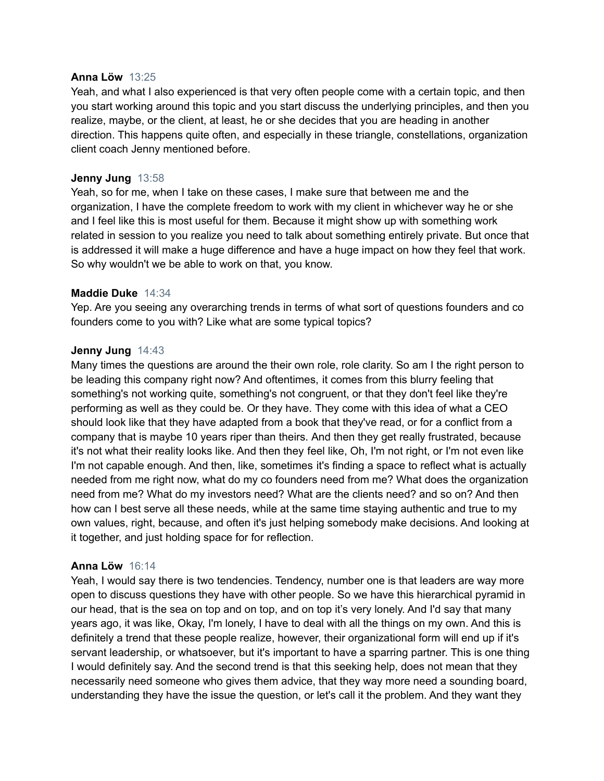## **Anna Löw** 13:25

Yeah, and what I also experienced is that very often people come with a certain topic, and then you start working around this topic and you start discuss the underlying principles, and then you realize, maybe, or the client, at least, he or she decides that you are heading in another direction. This happens quite often, and especially in these triangle, constellations, organization client coach Jenny mentioned before.

# **Jenny Jung** 13:58

Yeah, so for me, when I take on these cases, I make sure that between me and the organization, I have the complete freedom to work with my client in whichever way he or she and I feel like this is most useful for them. Because it might show up with something work related in session to you realize you need to talk about something entirely private. But once that is addressed it will make a huge difference and have a huge impact on how they feel that work. So why wouldn't we be able to work on that, you know.

# **Maddie Duke** 14:34

Yep. Are you seeing any overarching trends in terms of what sort of questions founders and co founders come to you with? Like what are some typical topics?

# **Jenny Jung** 14:43

Many times the questions are around the their own role, role clarity. So am I the right person to be leading this company right now? And oftentimes, it comes from this blurry feeling that something's not working quite, something's not congruent, or that they don't feel like they're performing as well as they could be. Or they have. They come with this idea of what a CEO should look like that they have adapted from a book that they've read, or for a conflict from a company that is maybe 10 years riper than theirs. And then they get really frustrated, because it's not what their reality looks like. And then they feel like, Oh, I'm not right, or I'm not even like I'm not capable enough. And then, like, sometimes it's finding a space to reflect what is actually needed from me right now, what do my co founders need from me? What does the organization need from me? What do my investors need? What are the clients need? and so on? And then how can I best serve all these needs, while at the same time staying authentic and true to my own values, right, because, and often it's just helping somebody make decisions. And looking at it together, and just holding space for for reflection.

# **Anna Löw** 16:14

Yeah, I would say there is two tendencies. Tendency, number one is that leaders are way more open to discuss questions they have with other people. So we have this hierarchical pyramid in our head, that is the sea on top and on top, and on top it's very lonely. And I'd say that many years ago, it was like, Okay, I'm lonely, I have to deal with all the things on my own. And this is definitely a trend that these people realize, however, their organizational form will end up if it's servant leadership, or whatsoever, but it's important to have a sparring partner. This is one thing I would definitely say. And the second trend is that this seeking help, does not mean that they necessarily need someone who gives them advice, that they way more need a sounding board, understanding they have the issue the question, or let's call it the problem. And they want they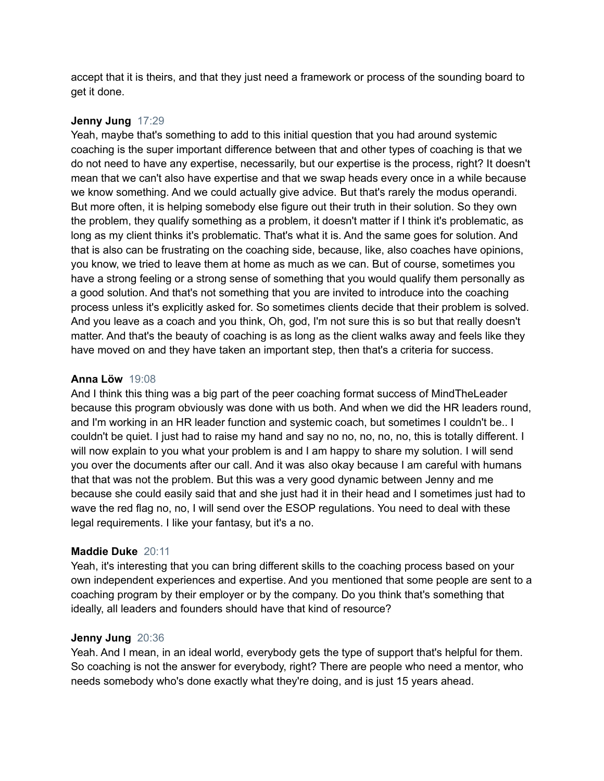accept that it is theirs, and that they just need a framework or process of the sounding board to get it done.

# **Jenny Jung** 17:29

Yeah, maybe that's something to add to this initial question that you had around systemic coaching is the super important difference between that and other types of coaching is that we do not need to have any expertise, necessarily, but our expertise is the process, right? It doesn't mean that we can't also have expertise and that we swap heads every once in a while because we know something. And we could actually give advice. But that's rarely the modus operandi. But more often, it is helping somebody else figure out their truth in their solution. So they own the problem, they qualify something as a problem, it doesn't matter if I think it's problematic, as long as my client thinks it's problematic. That's what it is. And the same goes for solution. And that is also can be frustrating on the coaching side, because, like, also coaches have opinions, you know, we tried to leave them at home as much as we can. But of course, sometimes you have a strong feeling or a strong sense of something that you would qualify them personally as a good solution. And that's not something that you are invited to introduce into the coaching process unless it's explicitly asked for. So sometimes clients decide that their problem is solved. And you leave as a coach and you think, Oh, god, I'm not sure this is so but that really doesn't matter. And that's the beauty of coaching is as long as the client walks away and feels like they have moved on and they have taken an important step, then that's a criteria for success.

# **Anna Löw** 19:08

And I think this thing was a big part of the peer coaching format success of MindTheLeader because this program obviously was done with us both. And when we did the HR leaders round, and I'm working in an HR leader function and systemic coach, but sometimes I couldn't be.. I couldn't be quiet. I just had to raise my hand and say no no, no, no, no, this is totally different. I will now explain to you what your problem is and I am happy to share my solution. I will send you over the documents after our call. And it was also okay because I am careful with humans that that was not the problem. But this was a very good dynamic between Jenny and me because she could easily said that and she just had it in their head and I sometimes just had to wave the red flag no, no, I will send over the ESOP regulations. You need to deal with these legal requirements. I like your fantasy, but it's a no.

# **Maddie Duke** 20:11

Yeah, it's interesting that you can bring different skills to the coaching process based on your own independent experiences and expertise. And you mentioned that some people are sent to a coaching program by their employer or by the company. Do you think that's something that ideally, all leaders and founders should have that kind of resource?

# **Jenny Jung** 20:36

Yeah. And I mean, in an ideal world, everybody gets the type of support that's helpful for them. So coaching is not the answer for everybody, right? There are people who need a mentor, who needs somebody who's done exactly what they're doing, and is just 15 years ahead.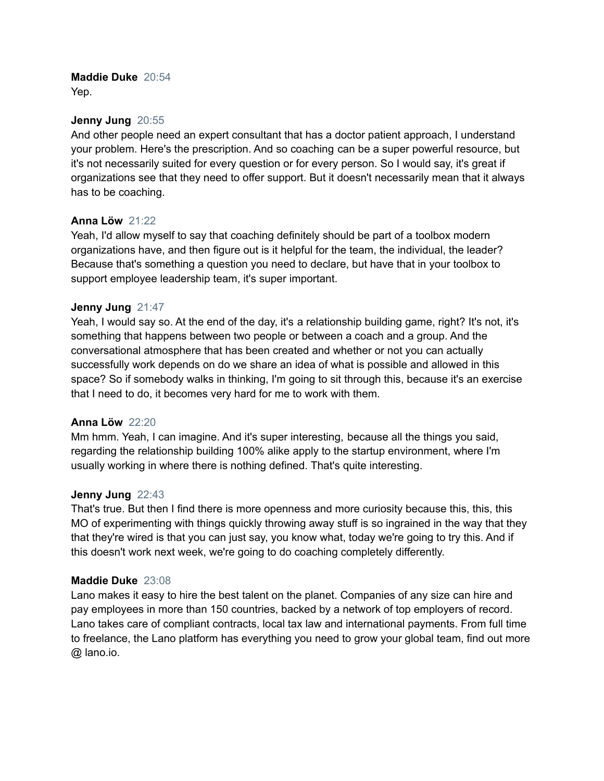# **Maddie Duke** 20:54

Yep.

# **Jenny Jung** 20:55

And other people need an expert consultant that has a doctor patient approach, I understand your problem. Here's the prescription. And so coaching can be a super powerful resource, but it's not necessarily suited for every question or for every person. So I would say, it's great if organizations see that they need to offer support. But it doesn't necessarily mean that it always has to be coaching.

# **Anna Löw** 21:22

Yeah, I'd allow myself to say that coaching definitely should be part of a toolbox modern organizations have, and then figure out is it helpful for the team, the individual, the leader? Because that's something a question you need to declare, but have that in your toolbox to support employee leadership team, it's super important.

# **Jenny Jung** 21:47

Yeah, I would say so. At the end of the day, it's a relationship building game, right? It's not, it's something that happens between two people or between a coach and a group. And the conversational atmosphere that has been created and whether or not you can actually successfully work depends on do we share an idea of what is possible and allowed in this space? So if somebody walks in thinking, I'm going to sit through this, because it's an exercise that I need to do, it becomes very hard for me to work with them.

# **Anna Löw** 22:20

Mm hmm. Yeah, I can imagine. And it's super interesting, because all the things you said, regarding the relationship building 100% alike apply to the startup environment, where I'm usually working in where there is nothing defined. That's quite interesting.

# **Jenny Jung** 22:43

That's true. But then I find there is more openness and more curiosity because this, this, this MO of experimenting with things quickly throwing away stuff is so ingrained in the way that they that they're wired is that you can just say, you know what, today we're going to try this. And if this doesn't work next week, we're going to do coaching completely differently.

# **Maddie Duke** 23:08

Lano makes it easy to hire the best talent on the planet. Companies of any size can hire and pay employees in more than 150 countries, backed by a network of top employers of record. Lano takes care of compliant contracts, local tax law and international payments. From full time to freelance, the Lano platform has everything you need to grow your global team, find out more @ lano.io.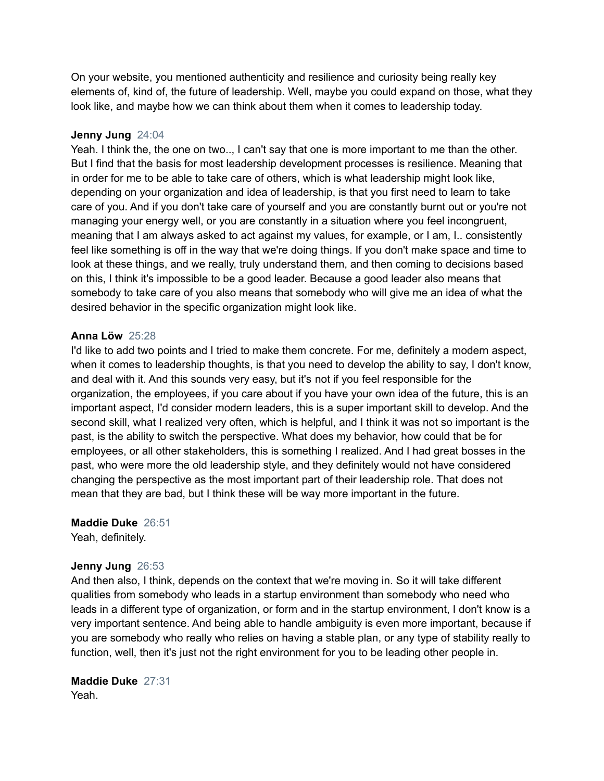On your website, you mentioned authenticity and resilience and curiosity being really key elements of, kind of, the future of leadership. Well, maybe you could expand on those, what they look like, and maybe how we can think about them when it comes to leadership today.

# **Jenny Jung** 24:04

Yeah. I think the, the one on two.., I can't say that one is more important to me than the other. But I find that the basis for most leadership development processes is resilience. Meaning that in order for me to be able to take care of others, which is what leadership might look like, depending on your organization and idea of leadership, is that you first need to learn to take care of you. And if you don't take care of yourself and you are constantly burnt out or you're not managing your energy well, or you are constantly in a situation where you feel incongruent, meaning that I am always asked to act against my values, for example, or I am, I.. consistently feel like something is off in the way that we're doing things. If you don't make space and time to look at these things, and we really, truly understand them, and then coming to decisions based on this, I think it's impossible to be a good leader. Because a good leader also means that somebody to take care of you also means that somebody who will give me an idea of what the desired behavior in the specific organization might look like.

# **Anna Löw** 25:28

I'd like to add two points and I tried to make them concrete. For me, definitely a modern aspect, when it comes to leadership thoughts, is that you need to develop the ability to say, I don't know, and deal with it. And this sounds very easy, but it's not if you feel responsible for the organization, the employees, if you care about if you have your own idea of the future, this is an important aspect, I'd consider modern leaders, this is a super important skill to develop. And the second skill, what I realized very often, which is helpful, and I think it was not so important is the past, is the ability to switch the perspective. What does my behavior, how could that be for employees, or all other stakeholders, this is something I realized. And I had great bosses in the past, who were more the old leadership style, and they definitely would not have considered changing the perspective as the most important part of their leadership role. That does not mean that they are bad, but I think these will be way more important in the future.

**Maddie Duke** 26:51 Yeah, definitely.

# **Jenny Jung** 26:53

And then also, I think, depends on the context that we're moving in. So it will take different qualities from somebody who leads in a startup environment than somebody who need who leads in a different type of organization, or form and in the startup environment, I don't know is a very important sentence. And being able to handle ambiguity is even more important, because if you are somebody who really who relies on having a stable plan, or any type of stability really to function, well, then it's just not the right environment for you to be leading other people in.

**Maddie Duke** 27:31 Yeah.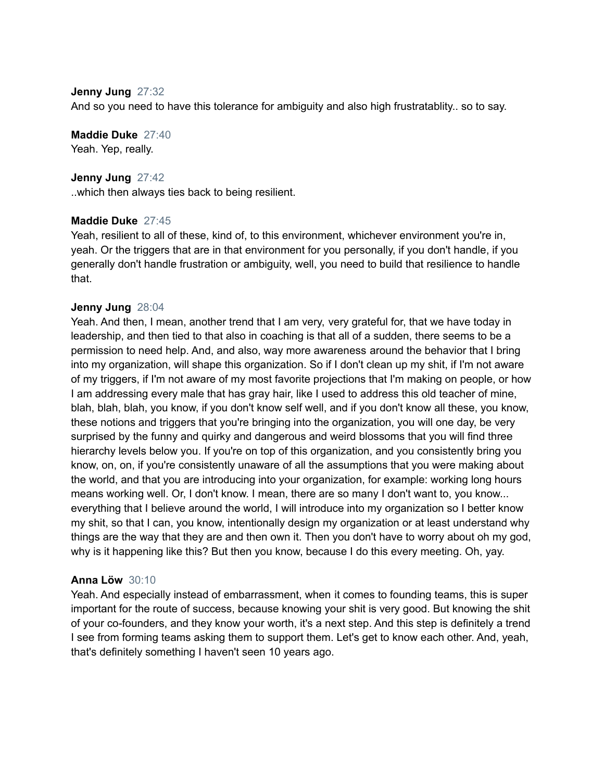# **Jenny Jung** 27:32

And so you need to have this tolerance for ambiguity and also high frustratablity.. so to say.

**Maddie Duke** 27:40 Yeah. Yep, really.

**Jenny Jung** 27:42 ..which then always ties back to being resilient.

# **Maddie Duke** 27:45

Yeah, resilient to all of these, kind of, to this environment, whichever environment you're in, yeah. Or the triggers that are in that environment for you personally, if you don't handle, if you generally don't handle frustration or ambiguity, well, you need to build that resilience to handle that.

# **Jenny Jung** 28:04

Yeah. And then, I mean, another trend that I am very, very grateful for, that we have today in leadership, and then tied to that also in coaching is that all of a sudden, there seems to be a permission to need help. And, and also, way more awareness around the behavior that I bring into my organization, will shape this organization. So if I don't clean up my shit, if I'm not aware of my triggers, if I'm not aware of my most favorite projections that I'm making on people, or how I am addressing every male that has gray hair, like I used to address this old teacher of mine, blah, blah, blah, you know, if you don't know self well, and if you don't know all these, you know, these notions and triggers that you're bringing into the organization, you will one day, be very surprised by the funny and quirky and dangerous and weird blossoms that you will find three hierarchy levels below you. If you're on top of this organization, and you consistently bring you know, on, on, if you're consistently unaware of all the assumptions that you were making about the world, and that you are introducing into your organization, for example: working long hours means working well. Or, I don't know. I mean, there are so many I don't want to, you know... everything that I believe around the world, I will introduce into my organization so I better know my shit, so that I can, you know, intentionally design my organization or at least understand why things are the way that they are and then own it. Then you don't have to worry about oh my god, why is it happening like this? But then you know, because I do this every meeting. Oh, yay.

# **Anna Löw** 30:10

Yeah. And especially instead of embarrassment, when it comes to founding teams, this is super important for the route of success, because knowing your shit is very good. But knowing the shit of your co-founders, and they know your worth, it's a next step. And this step is definitely a trend I see from forming teams asking them to support them. Let's get to know each other. And, yeah, that's definitely something I haven't seen 10 years ago.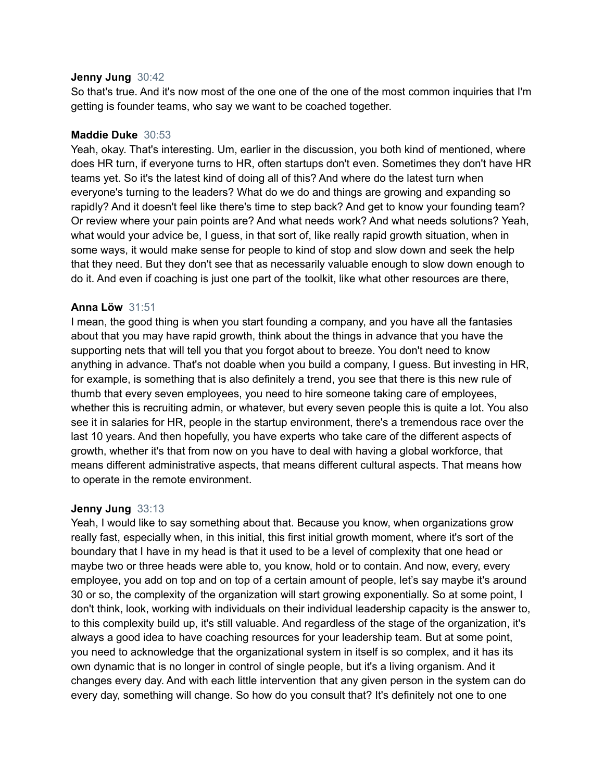## **Jenny Jung** 30:42

So that's true. And it's now most of the one one of the one of the most common inquiries that I'm getting is founder teams, who say we want to be coached together.

# **Maddie Duke** 30:53

Yeah, okay. That's interesting. Um, earlier in the discussion, you both kind of mentioned, where does HR turn, if everyone turns to HR, often startups don't even. Sometimes they don't have HR teams yet. So it's the latest kind of doing all of this? And where do the latest turn when everyone's turning to the leaders? What do we do and things are growing and expanding so rapidly? And it doesn't feel like there's time to step back? And get to know your founding team? Or review where your pain points are? And what needs work? And what needs solutions? Yeah, what would your advice be, I guess, in that sort of, like really rapid growth situation, when in some ways, it would make sense for people to kind of stop and slow down and seek the help that they need. But they don't see that as necessarily valuable enough to slow down enough to do it. And even if coaching is just one part of the toolkit, like what other resources are there,

# **Anna Löw** 31:51

I mean, the good thing is when you start founding a company, and you have all the fantasies about that you may have rapid growth, think about the things in advance that you have the supporting nets that will tell you that you forgot about to breeze. You don't need to know anything in advance. That's not doable when you build a company, I guess. But investing in HR, for example, is something that is also definitely a trend, you see that there is this new rule of thumb that every seven employees, you need to hire someone taking care of employees, whether this is recruiting admin, or whatever, but every seven people this is quite a lot. You also see it in salaries for HR, people in the startup environment, there's a tremendous race over the last 10 years. And then hopefully, you have experts who take care of the different aspects of growth, whether it's that from now on you have to deal with having a global workforce, that means different administrative aspects, that means different cultural aspects. That means how to operate in the remote environment.

#### **Jenny Jung** 33:13

Yeah, I would like to say something about that. Because you know, when organizations grow really fast, especially when, in this initial, this first initial growth moment, where it's sort of the boundary that I have in my head is that it used to be a level of complexity that one head or maybe two or three heads were able to, you know, hold or to contain. And now, every, every employee, you add on top and on top of a certain amount of people, let's say maybe it's around 30 or so, the complexity of the organization will start growing exponentially. So at some point, I don't think, look, working with individuals on their individual leadership capacity is the answer to, to this complexity build up, it's still valuable. And regardless of the stage of the organization, it's always a good idea to have coaching resources for your leadership team. But at some point, you need to acknowledge that the organizational system in itself is so complex, and it has its own dynamic that is no longer in control of single people, but it's a living organism. And it changes every day. And with each little intervention that any given person in the system can do every day, something will change. So how do you consult that? It's definitely not one to one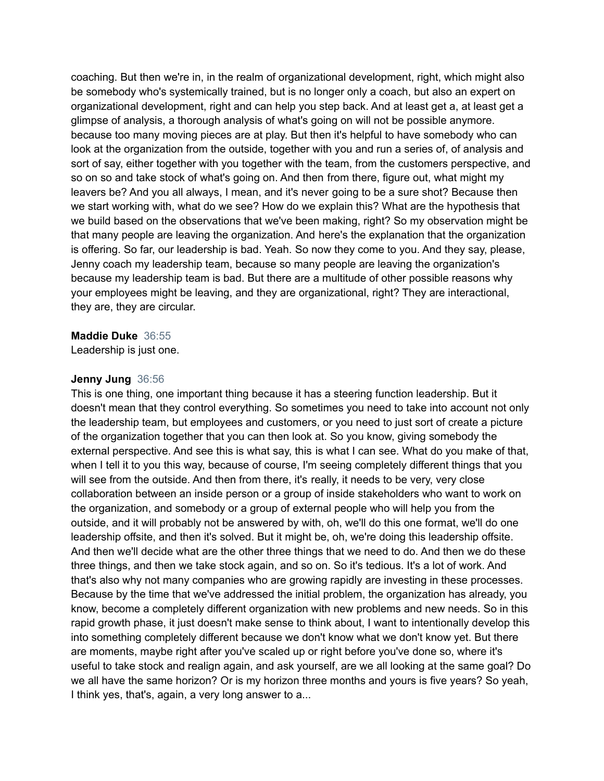coaching. But then we're in, in the realm of organizational development, right, which might also be somebody who's systemically trained, but is no longer only a coach, but also an expert on organizational development, right and can help you step back. And at least get a, at least get a glimpse of analysis, a thorough analysis of what's going on will not be possible anymore. because too many moving pieces are at play. But then it's helpful to have somebody who can look at the organization from the outside, together with you and run a series of, of analysis and sort of say, either together with you together with the team, from the customers perspective, and so on so and take stock of what's going on. And then from there, figure out, what might my leavers be? And you all always, I mean, and it's never going to be a sure shot? Because then we start working with, what do we see? How do we explain this? What are the hypothesis that we build based on the observations that we've been making, right? So my observation might be that many people are leaving the organization. And here's the explanation that the organization is offering. So far, our leadership is bad. Yeah. So now they come to you. And they say, please, Jenny coach my leadership team, because so many people are leaving the organization's because my leadership team is bad. But there are a multitude of other possible reasons why your employees might be leaving, and they are organizational, right? They are interactional, they are, they are circular.

#### **Maddie Duke** 36:55

Leadership is just one.

#### **Jenny Jung** 36:56

This is one thing, one important thing because it has a steering function leadership. But it doesn't mean that they control everything. So sometimes you need to take into account not only the leadership team, but employees and customers, or you need to just sort of create a picture of the organization together that you can then look at. So you know, giving somebody the external perspective. And see this is what say, this is what I can see. What do you make of that, when I tell it to you this way, because of course, I'm seeing completely different things that you will see from the outside. And then from there, it's really, it needs to be very, very close collaboration between an inside person or a group of inside stakeholders who want to work on the organization, and somebody or a group of external people who will help you from the outside, and it will probably not be answered by with, oh, we'll do this one format, we'll do one leadership offsite, and then it's solved. But it might be, oh, we're doing this leadership offsite. And then we'll decide what are the other three things that we need to do. And then we do these three things, and then we take stock again, and so on. So it's tedious. It's a lot of work. And that's also why not many companies who are growing rapidly are investing in these processes. Because by the time that we've addressed the initial problem, the organization has already, you know, become a completely different organization with new problems and new needs. So in this rapid growth phase, it just doesn't make sense to think about, I want to intentionally develop this into something completely different because we don't know what we don't know yet. But there are moments, maybe right after you've scaled up or right before you've done so, where it's useful to take stock and realign again, and ask yourself, are we all looking at the same goal? Do we all have the same horizon? Or is my horizon three months and yours is five years? So yeah, I think yes, that's, again, a very long answer to a...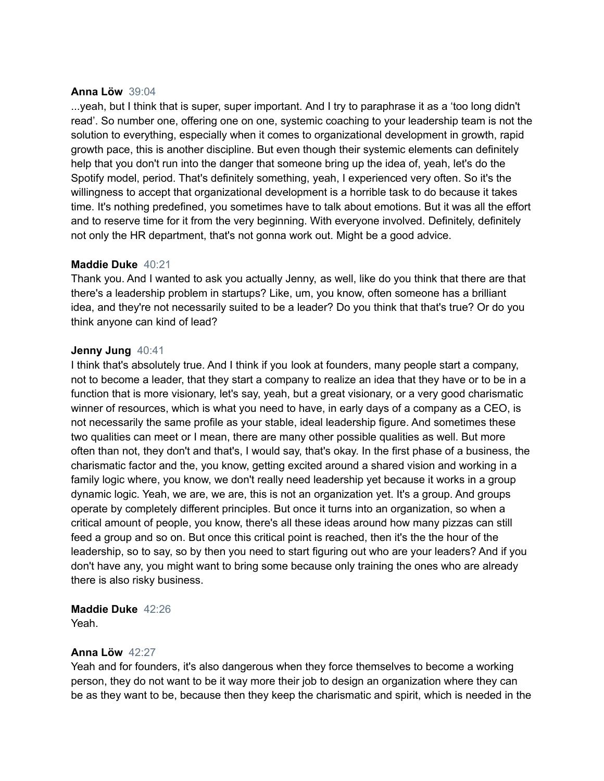#### **Anna Löw** 39:04

...yeah, but I think that is super, super important. And I try to paraphrase it as a 'too long didn't read'. So number one, offering one on one, systemic coaching to your leadership team is not the solution to everything, especially when it comes to organizational development in growth, rapid growth pace, this is another discipline. But even though their systemic elements can definitely help that you don't run into the danger that someone bring up the idea of, yeah, let's do the Spotify model, period. That's definitely something, yeah, I experienced very often. So it's the willingness to accept that organizational development is a horrible task to do because it takes time. It's nothing predefined, you sometimes have to talk about emotions. But it was all the effort and to reserve time for it from the very beginning. With everyone involved. Definitely, definitely not only the HR department, that's not gonna work out. Might be a good advice.

# **Maddie Duke** 40:21

Thank you. And I wanted to ask you actually Jenny, as well, like do you think that there are that there's a leadership problem in startups? Like, um, you know, often someone has a brilliant idea, and they're not necessarily suited to be a leader? Do you think that that's true? Or do you think anyone can kind of lead?

# **Jenny Jung** 40:41

I think that's absolutely true. And I think if you look at founders, many people start a company, not to become a leader, that they start a company to realize an idea that they have or to be in a function that is more visionary, let's say, yeah, but a great visionary, or a very good charismatic winner of resources, which is what you need to have, in early days of a company as a CEO, is not necessarily the same profile as your stable, ideal leadership figure. And sometimes these two qualities can meet or I mean, there are many other possible qualities as well. But more often than not, they don't and that's, I would say, that's okay. In the first phase of a business, the charismatic factor and the, you know, getting excited around a shared vision and working in a family logic where, you know, we don't really need leadership yet because it works in a group dynamic logic. Yeah, we are, we are, this is not an organization yet. It's a group. And groups operate by completely different principles. But once it turns into an organization, so when a critical amount of people, you know, there's all these ideas around how many pizzas can still feed a group and so on. But once this critical point is reached, then it's the the hour of the leadership, so to say, so by then you need to start figuring out who are your leaders? And if you don't have any, you might want to bring some because only training the ones who are already there is also risky business.

# **Maddie Duke** 42:26

Yeah.

# **Anna Löw** 42:27

Yeah and for founders, it's also dangerous when they force themselves to become a working person, they do not want to be it way more their job to design an organization where they can be as they want to be, because then they keep the charismatic and spirit, which is needed in the